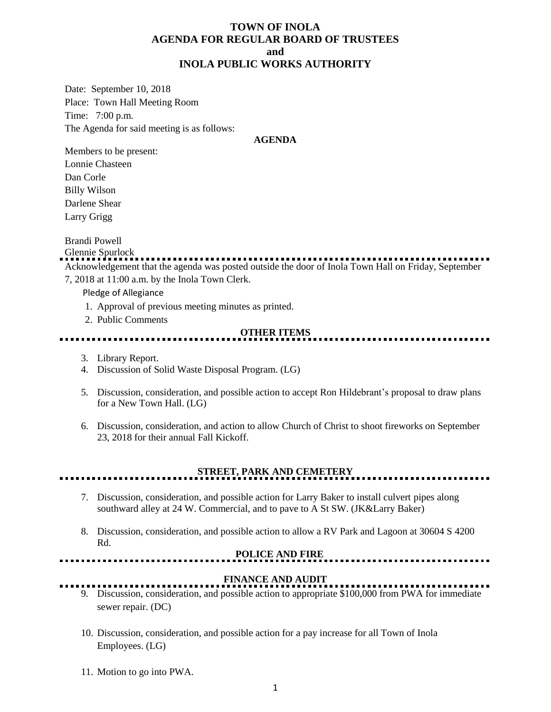## **TOWN OF INOLA AGENDA FOR REGULAR BOARD OF TRUSTEES and INOLA PUBLIC WORKS AUTHORITY**

Date: September 10, 2018 Place: Town Hall Meeting Room Time: 7:00 p.m. The Agenda for said meeting is as follows:

#### **AGENDA**

Members to be present: Lonnie Chasteen Dan Corle Billy Wilson Darlene Shear Larry Grigg

Brandi Powell

Glennie Spurlock Acknowledgement that the agenda was posted outside the door of Inola Town Hall on Friday, September

7, 2018 at 11:00 a.m. by the Inola Town Clerk.

Pledge of Allegiance

- 1. Approval of previous meeting minutes as printed.
- 2. Public Comments

#### **OTHER ITEMS**

- 3. Library Report.
- 4. Discussion of Solid Waste Disposal Program. (LG)
- 5. Discussion, consideration, and possible action to accept Ron Hildebrant's proposal to draw plans for a New Town Hall. (LG)
- 6. Discussion, consideration, and action to allow Church of Christ to shoot fireworks on September 23, 2018 for their annual Fall Kickoff.

**STREET, PARK AND CEMETERY**

- 7. Discussion, consideration, and possible action for Larry Baker to install culvert pipes along southward alley at 24 W. Commercial, and to pave to A St SW. (JK&Larry Baker)
- 8. Discussion, consideration, and possible action to allow a RV Park and Lagoon at 30604 S 4200 Rd.

#### **POLICE AND FIRE**

#### **FINANCE AND AUDIT**

- 9. Discussion, consideration, and possible action to appropriate \$100,000 from PWA for immediate sewer repair. (DC)
- 10. Discussion, consideration, and possible action for a pay increase for all Town of Inola Employees. (LG)
- 11. Motion to go into PWA.